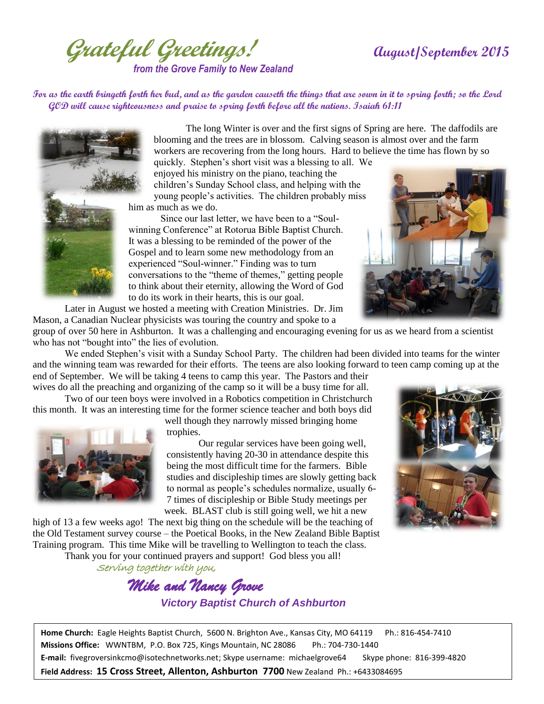**Grateful Greetings! August/September 2015** *from the Grove Family to New Zealand*

**For as the earth bringeth forth her bud, and as the garden causeth the things that are sown in it to spring forth; so the Lord GOD will cause righteousness and praise to spring forth before all the nations. Isaiah 61:11** 



The long Winter is over and the first signs of Spring are here. The daffodils are blooming and the trees are in blossom. Calving season is almost over and the farm workers are recovering from the long hours. Hard to believe the time has flown by so

quickly. Stephen's short visit was a blessing to all. We enjoyed his ministry on the piano, teaching the children's Sunday School class, and helping with the young people's activities. The children probably miss him as much as we do.

Since our last letter, we have been to a "Soulwinning Conference" at Rotorua Bible Baptist Church. It was a blessing to be reminded of the power of the Gospel and to learn some new methodology from an experienced "Soul-winner." Finding was to turn conversations to the "theme of themes," getting people to think about their eternity, allowing the Word of God to do its work in their hearts, this is our goal.

Later in August we hosted a meeting with Creation Ministries. Dr. Jim Mason, a Canadian Nuclear physicists was touring the country and spoke to a



group of over 50 here in Ashburton. It was a challenging and encouraging evening for us as we heard from a scientist who has not "bought into" the lies of evolution.

We ended Stephen's visit with a Sunday School Party. The children had been divided into teams for the winter and the winning team was rewarded for their efforts. The teens are also looking forward to teen camp coming up at the end of September. We will be taking 4 teens to camp this year. The Pastors and their

wives do all the preaching and organizing of the camp so it will be a busy time for all. Two of our teen boys were involved in a Robotics competition in Christchurch

this month. It was an interesting time for the former science teacher and both boys did



well though they narrowly missed bringing home trophies.

Our regular services have been going well, consistently having 20-30 in attendance despite this being the most difficult time for the farmers. Bible studies and discipleship times are slowly getting back to normal as people's schedules normalize, usually 6- 7 times of discipleship or Bible Study meetings per week. BLAST club is still going well, we hit a new

high of 13 a few weeks ago! The next big thing on the schedule will be the teaching of the Old Testament survey course – the Poetical Books, in the New Zealand Bible Baptist Training program. This time Mike will be travelling to Wellington to teach the class.

Thank you for your continued prayers and support! God bless you all!

Serving together with you,

 *Mike and Nancy Grove Victory Baptist Church of Ashburton*



**Home Church:** Eagle Heights Baptist Church, 5600 N. Brighton Ave., Kansas City, MO 64119 Ph.: 816-454-7410 **Missions Office:** WWNTBM, P.O. Box 725, Kings Mountain, NC 28086 Ph.: 704-730-1440 **E-mail:** fivegroversinkcmo@isotechnetworks.net; Skype username: michaelgrove64 Skype phone: 816-399-4820 **Field Address: 15 Cross Street, Allenton, Ashburton 7700** New Zealand Ph.: +6433084695